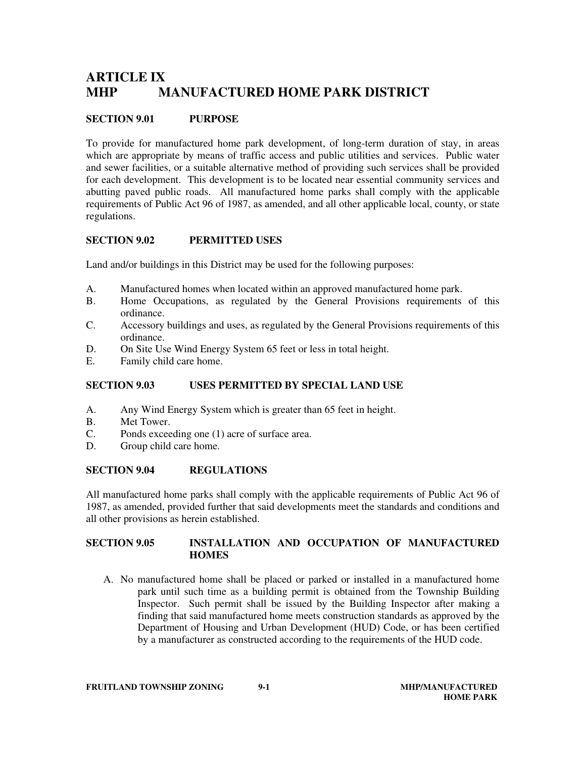# **ARTICLE IX MHP MANUFACTURED HOME PARK DISTRICT**

## **SECTION 9.01 PURPOSE**

To provide for manufactured home park development, of long-term duration of stay, in areas which are appropriate by means of traffic access and public utilities and services. Public water and sewer facilities, or a suitable alternative method of providing such services shall be provided for each development. This development is to be located near essential community services and abutting paved public roads. All manufactured home parks shall comply with the applicable requirements of Public Act 96 of 1987, as amended, and all other applicable local, county, or state regulations.

#### **SECTION 9.02 PERMITTED USES**

Land and/or buildings in this District may be used for the following purposes:

- A. Manufactured homes when located within an approved manufactured home park.
- B. Home Occupations, as regulated by the General Provisions requirements of this ordinance.
- C. Accessory buildings and uses, as regulated by the General Provisions requirements of this ordinance.
- D. On Site Use Wind Energy System 65 feet or less in total height.
- E. Family child care home.

#### **SECTION 9.03 USES PERMITTED BY SPECIAL LAND USE**

- A. Any Wind Energy System which is greater than 65 feet in height.
- B. Met Tower.<br>C. Ponds excee
- Ponds exceeding one (1) acre of surface area.
- D. Group child care home.

#### **SECTION 9.04 REGULATIONS**

All manufactured home parks shall comply with the applicable requirements of Public Act 96 of 1987, as amended, provided further that said developments meet the standards and conditions and all other provisions as herein established.

### **SECTION 9.05 INSTALLATION AND OCCUPATION OF MANUFACTURED HOMES**

A. No manufactured home shall be placed or parked or installed in a manufactured home park until such time as a building permit is obtained from the Township Building Inspector. Such permit shall be issued by the Building Inspector after making a finding that said manufactured home meets construction standards as approved by the Department of Housing and Urban Development (HUD) Code, or has been certified by a manufacturer as constructed according to the requirements of the HUD code.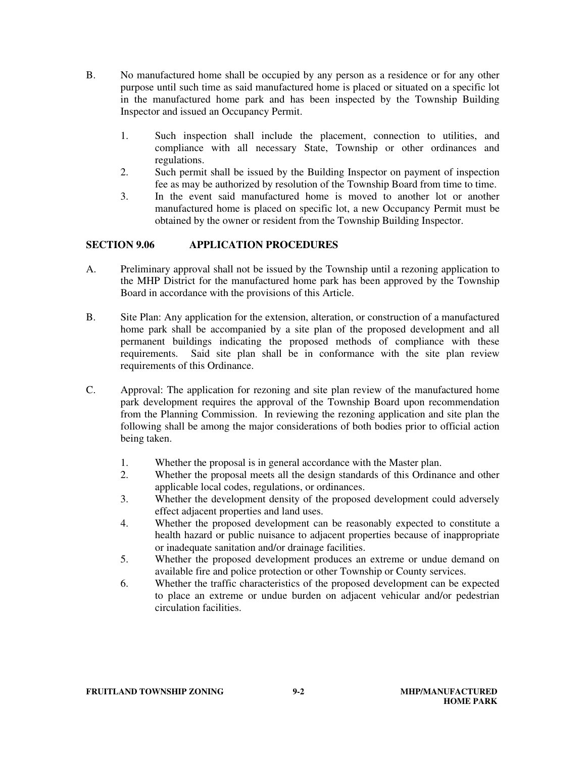- B. No manufactured home shall be occupied by any person as a residence or for any other purpose until such time as said manufactured home is placed or situated on a specific lot in the manufactured home park and has been inspected by the Township Building Inspector and issued an Occupancy Permit.
	- 1. Such inspection shall include the placement, connection to utilities, and compliance with all necessary State, Township or other ordinances and regulations.
	- 2. Such permit shall be issued by the Building Inspector on payment of inspection fee as may be authorized by resolution of the Township Board from time to time.
	- 3. In the event said manufactured home is moved to another lot or another manufactured home is placed on specific lot, a new Occupancy Permit must be obtained by the owner or resident from the Township Building Inspector.

### **SECTION 9.06 APPLICATION PROCEDURES**

- A. Preliminary approval shall not be issued by the Township until a rezoning application to the MHP District for the manufactured home park has been approved by the Township Board in accordance with the provisions of this Article.
- B. Site Plan: Any application for the extension, alteration, or construction of a manufactured home park shall be accompanied by a site plan of the proposed development and all permanent buildings indicating the proposed methods of compliance with these requirements. Said site plan shall be in conformance with the site plan review requirements of this Ordinance.
- C. Approval: The application for rezoning and site plan review of the manufactured home park development requires the approval of the Township Board upon recommendation from the Planning Commission. In reviewing the rezoning application and site plan the following shall be among the major considerations of both bodies prior to official action being taken.
	- 1. Whether the proposal is in general accordance with the Master plan.
	- 2. Whether the proposal meets all the design standards of this Ordinance and other applicable local codes, regulations, or ordinances.
	- 3. Whether the development density of the proposed development could adversely effect adjacent properties and land uses.
	- 4. Whether the proposed development can be reasonably expected to constitute a health hazard or public nuisance to adjacent properties because of inappropriate or inadequate sanitation and/or drainage facilities.
	- 5. Whether the proposed development produces an extreme or undue demand on available fire and police protection or other Township or County services.
	- 6. Whether the traffic characteristics of the proposed development can be expected to place an extreme or undue burden on adjacent vehicular and/or pedestrian circulation facilities.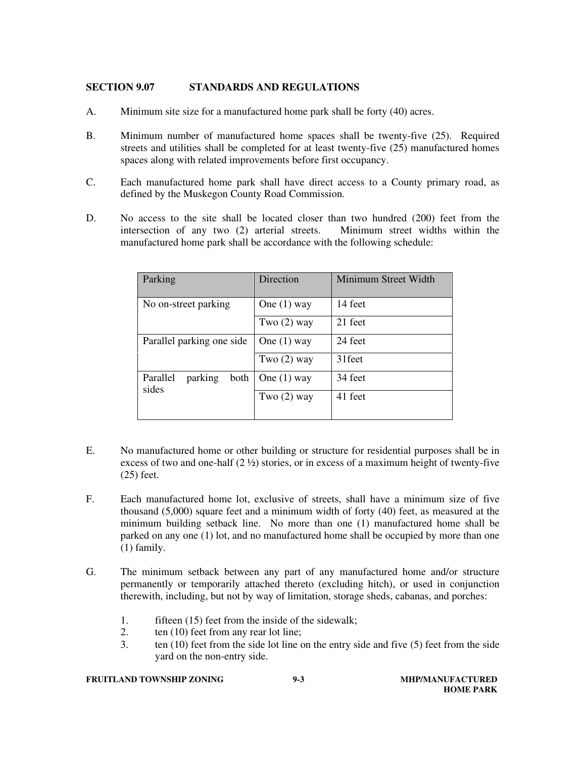### **SECTION 9.07 STANDARDS AND REGULATIONS**

- A. Minimum site size for a manufactured home park shall be forty (40) acres.
- B. Minimum number of manufactured home spaces shall be twenty-five (25). Required streets and utilities shall be completed for at least twenty-five (25) manufactured homes spaces along with related improvements before first occupancy.
- C. Each manufactured home park shall have direct access to a County primary road, as defined by the Muskegon County Road Commission.
- D. No access to the site shall be located closer than two hundred (200) feet from the intersection of any two (2) arterial streets. Minimum street widths within the manufactured home park shall be accordance with the following schedule:

| Parking                              | Direction     | Minimum Street Width |
|--------------------------------------|---------------|----------------------|
| No on-street parking                 | One $(1)$ way | 14 feet              |
|                                      | Two $(2)$ way | 21 feet              |
| Parallel parking one side            | One $(1)$ way | 24 feet              |
|                                      | Two $(2)$ way | 31 feet              |
| Parallel<br>parking<br>both<br>sides | One $(1)$ way | 34 feet              |
|                                      | Two $(2)$ way | 41 feet              |
|                                      |               |                      |

- E. No manufactured home or other building or structure for residential purposes shall be in excess of two and one-half (2 ½) stories, or in excess of a maximum height of twenty-five (25) feet.
- F. Each manufactured home lot, exclusive of streets, shall have a minimum size of five thousand (5,000) square feet and a minimum width of forty (40) feet, as measured at the minimum building setback line. No more than one (1) manufactured home shall be parked on any one (1) lot, and no manufactured home shall be occupied by more than one (1) family.
- G. The minimum setback between any part of any manufactured home and/or structure permanently or temporarily attached thereto (excluding hitch), or used in conjunction therewith, including, but not by way of limitation, storage sheds, cabanas, and porches:
	- 1. fifteen (15) feet from the inside of the sidewalk;
	- 2. ten (10) feet from any rear lot line;
	- 3. ten (10) feet from the side lot line on the entry side and five (5) feet from the side yard on the non-entry side.

#### **FRUITLAND TOWNSHIP ZONING 9-3** 9-3 MHP/MANUFACTURED

# **HOME PARK**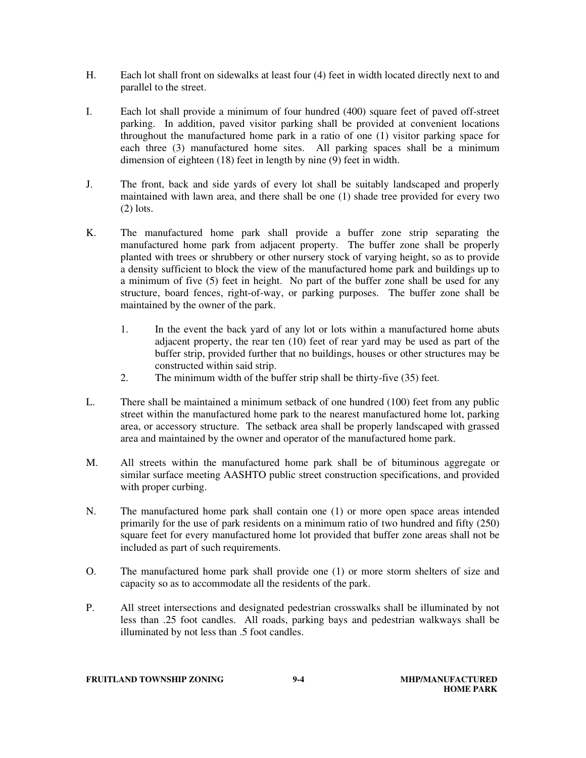- H. Each lot shall front on sidewalks at least four (4) feet in width located directly next to and parallel to the street.
- I. Each lot shall provide a minimum of four hundred (400) square feet of paved off-street parking. In addition, paved visitor parking shall be provided at convenient locations throughout the manufactured home park in a ratio of one (1) visitor parking space for each three (3) manufactured home sites. All parking spaces shall be a minimum dimension of eighteen (18) feet in length by nine (9) feet in width.
- J. The front, back and side yards of every lot shall be suitably landscaped and properly maintained with lawn area, and there shall be one (1) shade tree provided for every two  $(2)$  lots.
- K. The manufactured home park shall provide a buffer zone strip separating the manufactured home park from adjacent property. The buffer zone shall be properly planted with trees or shrubbery or other nursery stock of varying height, so as to provide a density sufficient to block the view of the manufactured home park and buildings up to a minimum of five (5) feet in height. No part of the buffer zone shall be used for any structure, board fences, right-of-way, or parking purposes. The buffer zone shall be maintained by the owner of the park.
	- 1. In the event the back yard of any lot or lots within a manufactured home abuts adjacent property, the rear ten (10) feet of rear yard may be used as part of the buffer strip, provided further that no buildings, houses or other structures may be constructed within said strip.
	- 2. The minimum width of the buffer strip shall be thirty-five (35) feet.
- L. There shall be maintained a minimum setback of one hundred (100) feet from any public street within the manufactured home park to the nearest manufactured home lot, parking area, or accessory structure. The setback area shall be properly landscaped with grassed area and maintained by the owner and operator of the manufactured home park.
- M. All streets within the manufactured home park shall be of bituminous aggregate or similar surface meeting AASHTO public street construction specifications, and provided with proper curbing.
- N. The manufactured home park shall contain one (1) or more open space areas intended primarily for the use of park residents on a minimum ratio of two hundred and fifty (250) square feet for every manufactured home lot provided that buffer zone areas shall not be included as part of such requirements.
- O. The manufactured home park shall provide one (1) or more storm shelters of size and capacity so as to accommodate all the residents of the park.
- P. All street intersections and designated pedestrian crosswalks shall be illuminated by not less than .25 foot candles. All roads, parking bays and pedestrian walkways shall be illuminated by not less than .5 foot candles.